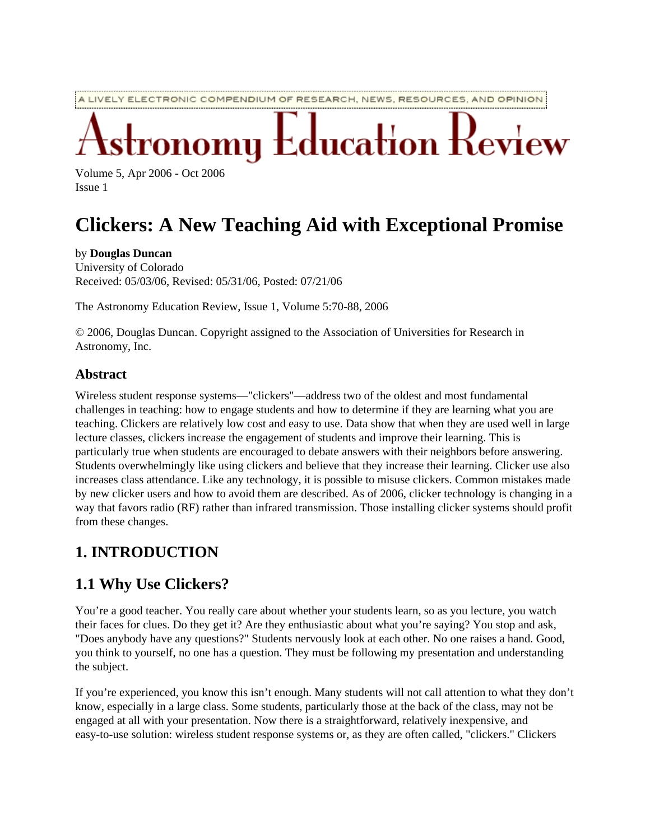A LIVELY ELECTRONIC COMPENDIUM OF RESEARCH, NEWS, RESOURCES, AND OPINION

# $\operatorname{\mathsf{r}ducation}$   $\operatorname{\mathsf{r}}$

Volume 5, Apr 2006 - Oct 2006 Issue 1

## **Clickers: A New Teaching Aid with Exceptional Promise**

#### by **Douglas Duncan**

University of Colorado Received: 05/03/06, Revised: 05/31/06, Posted: 07/21/06

The Astronomy Education Review, Issue 1, Volume 5:70-88, 2006

© 2006, Douglas Duncan. Copyright assigned to the Association of Universities for Research in Astronomy, Inc.

#### **Abstract**

Wireless student response systems—"clickers"—address two of the oldest and most fundamental challenges in teaching: how to engage students and how to determine if they are learning what you are teaching. Clickers are relatively low cost and easy to use. Data show that when they are used well in large lecture classes, clickers increase the engagement of students and improve their learning. This is particularly true when students are encouraged to debate answers with their neighbors before answering. Students overwhelmingly like using clickers and believe that they increase their learning. Clicker use also increases class attendance. Like any technology, it is possible to misuse clickers. Common mistakes made by new clicker users and how to avoid them are described. As of 2006, clicker technology is changing in a way that favors radio (RF) rather than infrared transmission. Those installing clicker systems should profit from these changes.

## **1. INTRODUCTION**

#### **1.1 Why Use Clickers?**

You're a good teacher. You really care about whether your students learn, so as you lecture, you watch their faces for clues. Do they get it? Are they enthusiastic about what you're saying? You stop and ask, "Does anybody have any questions?" Students nervously look at each other. No one raises a hand. Good, you think to yourself, no one has a question. They must be following my presentation and understanding the subject.

If you're experienced, you know this isn't enough. Many students will not call attention to what they don't know, especially in a large class. Some students, particularly those at the back of the class, may not be engaged at all with your presentation. Now there is a straightforward, relatively inexpensive, and easy-to-use solution: wireless student response systems or, as they are often called, "clickers." Clickers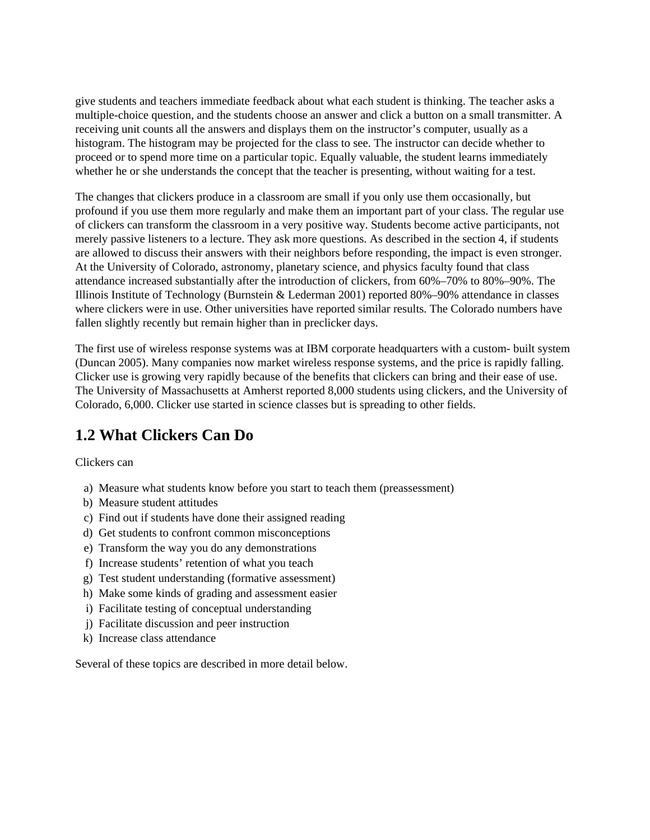give students and teachers immediate feedback about what each student is thinking. The teacher asks a multiple-choice question, and the students choose an answer and click a button on a small transmitter. A receiving unit counts all the answers and displays them on the instructor's computer, usually as a histogram. The histogram may be projected for the class to see. The instructor can decide whether to proceed or to spend more time on a particular topic. Equally valuable, the student learns immediately whether he or she understands the concept that the teacher is presenting, without waiting for a test.

The changes that clickers produce in a classroom are small if you only use them occasionally, but profound if you use them more regularly and make them an important part of your class. The regular use of clickers can transform the classroom in a very positive way. Students become active participants, not merely passive listeners to a lecture. They ask more questions. As described in the section 4, if students are allowed to discuss their answers with their neighbors before responding, the impact is even stronger. At the University of Colorado, astronomy, planetary science, and physics faculty found that class attendance increased substantially after the introduction of clickers, from 60%–70% to 80%–90%. The Illinois Institute of Technology (Burnstein & Lederman 2001) reported 80%–90% attendance in classes where clickers were in use. Other universities have reported similar results. The Colorado numbers have fallen slightly recently but remain higher than in preclicker days.

The first use of wireless response systems was at IBM corporate headquarters with a custom- built system (Duncan 2005). Many companies now market wireless response systems, and the price is rapidly falling. Clicker use is growing very rapidly because of the benefits that clickers can bring and their ease of use. The University of Massachusetts at Amherst reported 8,000 students using clickers, and the University of Colorado, 6,000. Clicker use started in science classes but is spreading to other fields.

#### **1.2 What Clickers Can Do**

Clickers can

- a) Measure what students know before you start to teach them (preassessment)
- b) Measure student attitudes
- c) Find out if students have done their assigned reading
- d) Get students to confront common misconceptions
- e) Transform the way you do any demonstrations
- f) Increase students' retention of what you teach
- g) Test student understanding (formative assessment)
- h) Make some kinds of grading and assessment easier
- i) Facilitate testing of conceptual understanding
- j) Facilitate discussion and peer instruction
- k) Increase class attendance

Several of these topics are described in more detail below.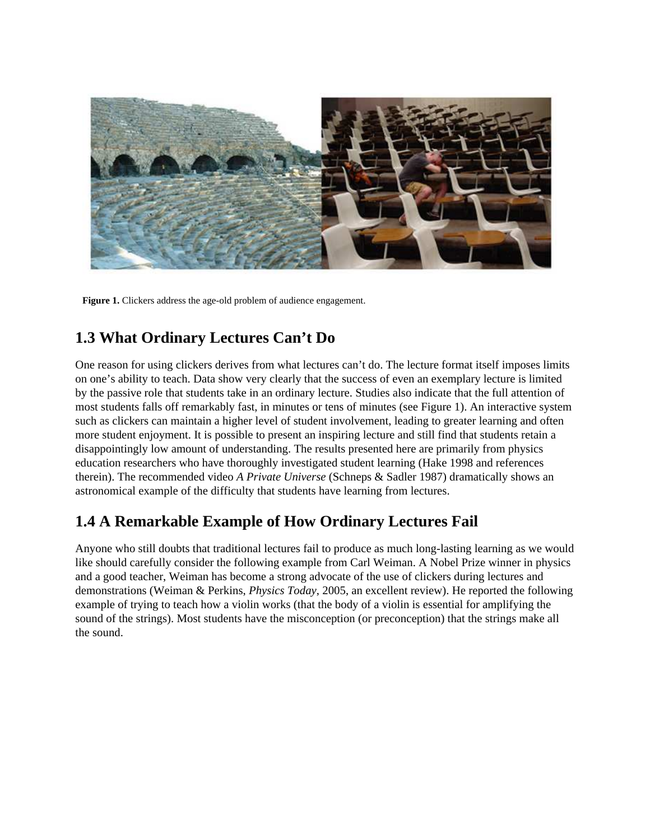

**Figure 1.** Clickers address the age-old problem of audience engagement.

#### **1.3 What Ordinary Lectures Can't Do**

One reason for using clickers derives from what lectures can't do. The lecture format itself imposes limits on one's ability to teach. Data show very clearly that the success of even an exemplary lecture is limited by the passive role that students take in an ordinary lecture. Studies also indicate that the full attention of most students falls off remarkably fast, in minutes or tens of minutes (see Figure 1). An interactive system such as clickers can maintain a higher level of student involvement, leading to greater learning and often more student enjoyment. It is possible to present an inspiring lecture and still find that students retain a disappointingly low amount of understanding. The results presented here are primarily from physics education researchers who have thoroughly investigated student learning (Hake 1998 and references therein). The recommended video *A Private Universe* (Schneps & Sadler 1987) dramatically shows an astronomical example of the difficulty that students have learning from lectures.

## **1.4 A Remarkable Example of How Ordinary Lectures Fail**

Anyone who still doubts that traditional lectures fail to produce as much long-lasting learning as we would like should carefully consider the following example from Carl Weiman. A Nobel Prize winner in physics and a good teacher, Weiman has become a strong advocate of the use of clickers during lectures and demonstrations (Weiman & Perkins, *Physics Today*, 2005, an excellent review). He reported the following example of trying to teach how a violin works (that the body of a violin is essential for amplifying the sound of the strings). Most students have the misconception (or preconception) that the strings make all the sound.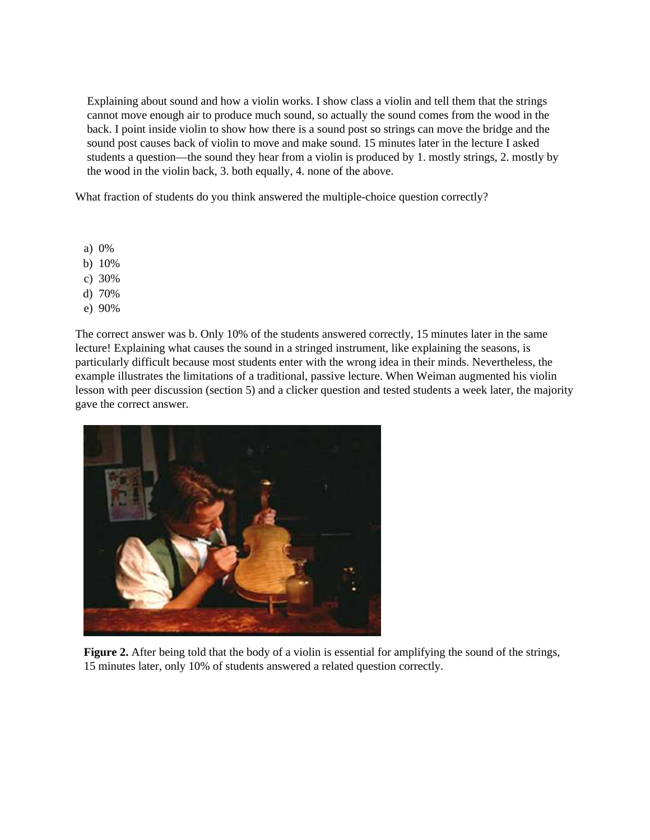Explaining about sound and how a violin works. I show class a violin and tell them that the strings cannot move enough air to produce much sound, so actually the sound comes from the wood in the back. I point inside violin to show how there is a sound post so strings can move the bridge and the sound post causes back of violin to move and make sound. 15 minutes later in the lecture I asked students a question—the sound they hear from a violin is produced by 1. mostly strings, 2. mostly by the wood in the violin back, 3. both equally, 4. none of the above.

What fraction of students do you think answered the multiple-choice question correctly?

- a) 0%
- b) 10%
- c) 30%
- d) 70%
- e) 90%

The correct answer was b. Only 10% of the students answered correctly, 15 minutes later in the same lecture! Explaining what causes the sound in a stringed instrument, like explaining the seasons, is particularly difficult because most students enter with the wrong idea in their minds. Nevertheless, the example illustrates the limitations of a traditional, passive lecture. When Weiman augmented his violin lesson with peer discussion (section 5) and a clicker question and tested students a week later, the majority gave the correct answer.



**Figure 2.** After being told that the body of a violin is essential for amplifying the sound of the strings, 15 minutes later, only 10% of students answered a related question correctly.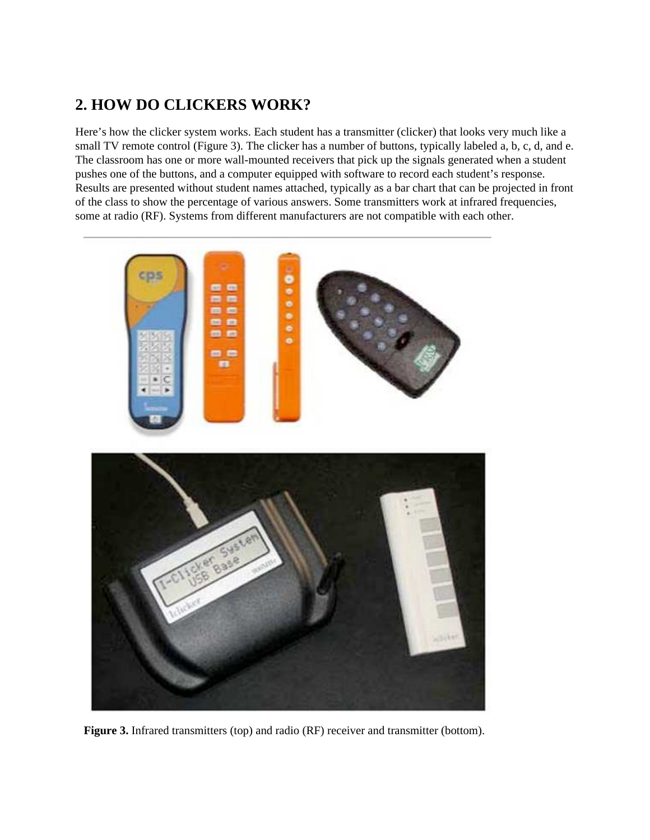#### **2. HOW DO CLICKERS WORK?**

Here's how the clicker system works. Each student has a transmitter (clicker) that looks very much like a small TV remote control (Figure 3). The clicker has a number of buttons, typically labeled a, b, c, d, and e. The classroom has one or more wall-mounted receivers that pick up the signals generated when a student pushes one of the buttons, and a computer equipped with software to record each student's response. Results are presented without student names attached, typically as a bar chart that can be projected in front of the class to show the percentage of various answers. Some transmitters work at infrared frequencies, some at radio (RF). Systems from different manufacturers are not compatible with each other.



**Figure 3.** Infrared transmitters (top) and radio (RF) receiver and transmitter (bottom).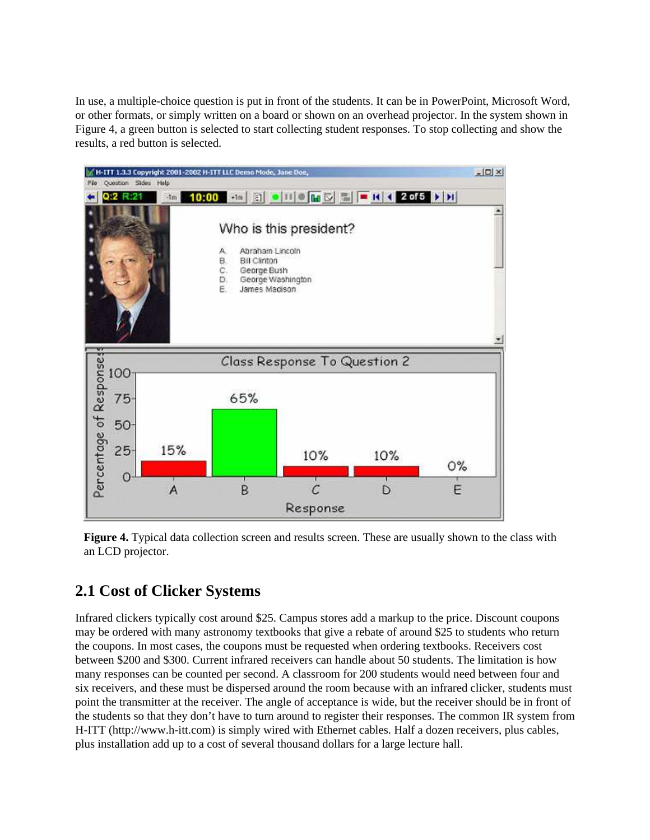In use, a multiple-choice question is put in front of the students. It can be in PowerPoint, Microsoft Word, or other formats, or simply written on a board or shown on an overhead projector. In the system shown in Figure 4, a green button is selected to start collecting student responses. To stop collecting and show the results, a red button is selected.



**Figure 4.** Typical data collection screen and results screen. These are usually shown to the class with an LCD projector.

## **2.1 Cost of Clicker Systems**

Infrared clickers typically cost around \$25. Campus stores add a markup to the price. Discount coupons may be ordered with many astronomy textbooks that give a rebate of around \$25 to students who return the coupons. In most cases, the coupons must be requested when ordering textbooks. Receivers cost between \$200 and \$300. Current infrared receivers can handle about 50 students. The limitation is how many responses can be counted per second. A classroom for 200 students would need between four and six receivers, and these must be dispersed around the room because with an infrared clicker, students must point the transmitter at the receiver. The angle of acceptance is wide, but the receiver should be in front of the students so that they don't have to turn around to register their responses. The common IR system from H-ITT (http://www.h-itt.com) is simply wired with Ethernet cables. Half a dozen receivers, plus cables, plus installation add up to a cost of several thousand dollars for a large lecture hall.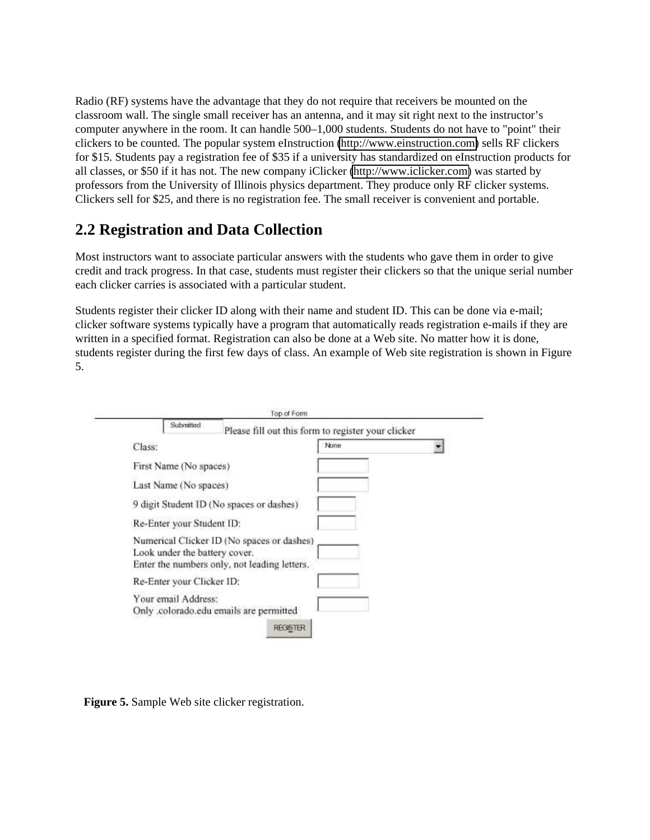Radio (RF) systems have the advantage that they do not require that receivers be mounted on the classroom wall. The single small receiver has an antenna, and it may sit right next to the instructor's computer anywhere in the room. It can handle 500–1,000 students. Students do not have to "point" their clickers to be counted. The popular system eInstruction [\(http://www.einstruction.com\)](http://www.einstruction.com/) sells RF clickers for \$15. Students pay a registration fee of \$35 if a university has standardized on eInstruction products for all classes, or \$50 if it has not. The new company iClicker [\(http://www.iclicker.com\)](http://www.iclicker.com/) was started by professors from the University of Illinois physics department. They produce only RF clicker systems. Clickers sell for \$25, and there is no registration fee. The small receiver is convenient and portable.

#### **2.2 Registration and Data Collection**

Most instructors want to associate particular answers with the students who gave them in order to give credit and track progress. In that case, students must register their clickers so that the unique serial number each clicker carries is associated with a particular student.

Students register their clicker ID along with their name and student ID. This can be done via e-mail; clicker software systems typically have a program that automatically reads registration e-mails if they are written in a specified format. Registration can also be done at a Web site. No matter how it is done, students register during the first few days of class. An example of Web site registration is shown in Figure 5.

| Class:                                                                                                                      | None |
|-----------------------------------------------------------------------------------------------------------------------------|------|
| First Name (No spaces)                                                                                                      |      |
| Last Name (No spaces)                                                                                                       |      |
| 9 digit Student ID (No spaces or dashes)                                                                                    |      |
| Re-Enter your Student ID:                                                                                                   |      |
| Numerical Clicker ID (No spaces or dashes)<br>Look under the battery cover.<br>Enter the numbers only, not leading letters. |      |
| Re-Enter your Clicker ID:                                                                                                   |      |
| Your email Address:<br>Only .colorado.edu emails are permitted                                                              |      |

**Figure 5.** Sample Web site clicker registration.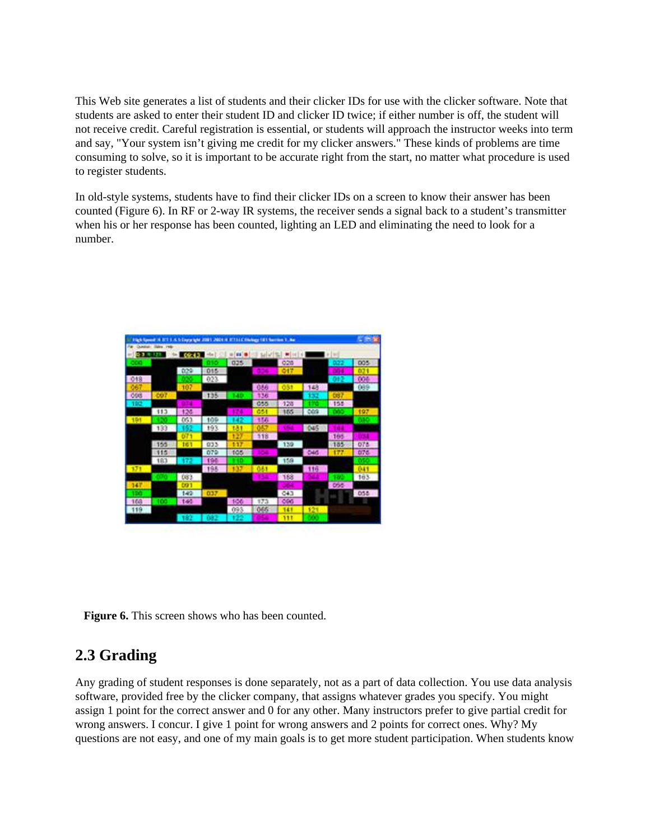This Web site generates a list of students and their clicker IDs for use with the clicker software. Note that students are asked to enter their student ID and clicker ID twice; if either number is off, the student will not receive credit. Careful registration is essential, or students will approach the instructor weeks into term and say, "Your system isn't giving me credit for my clicker answers." These kinds of problems are time consuming to solve, so it is important to be accurate right from the start, no matter what procedure is used to register students.

In old-style systems, students have to find their clicker IDs on a screen to know their answer has been counted (Figure 6). In RF or 2-way IR systems, the receiver sends a signal back to a student's transmitter when his or her response has been counted, lighting an LED and eliminating the need to look for a number.

| <b>Gold</b> Ray |                                    |          | In Engineer 2001 2004 in 17111 Chinango 181 Section 1, Au- |     |                    |             |             |            | <b>STAR</b> |
|-----------------|------------------------------------|----------|------------------------------------------------------------|-----|--------------------|-------------|-------------|------------|-------------|
|                 | <b>CLARING SIDNE</b><br><b>PHR</b> | $-09.42$ | ٠<br>Hille I                                               | iii | bel w <sup>r</sup> |             |             | $+111$     |             |
|                 |                                    |          |                                                            | 025 |                    | 028         |             | 022        | 005         |
|                 |                                    | 029      | 015                                                        |     |                    | 017         |             |            |             |
| $018$           |                                    |          | 023                                                        |     |                    |             |             | o          | 006         |
|                 |                                    | 107      |                                                            |     | 056                | 631         | 148         |            | 089         |
| <b>OSS</b>      | 607                                |          | 135                                                        | 40. | 136                |             | 132         | <b>Cos</b> |             |
| 192             |                                    |          |                                                            |     | 055                | -128        |             | 155        |             |
|                 | 113                                | 126      |                                                            |     | 051                | 165         | cos         |            | 197         |
| 191             |                                    | 053      | 109                                                        |     | 156                |             |             |            |             |
|                 | 133                                |          | 193                                                        | 684 |                    | <b>COLD</b> | <b>CALS</b> |            |             |
|                 |                                    | 671      |                                                            | t 2 | 118                |             |             | 165        |             |
|                 | 155                                | 161      | 033                                                        | 117 |                    | 139         |             | 185        | 078         |
|                 | 115                                |          | 079                                                        | 105 |                    |             | CHO         | 177        | 075         |
|                 | 183                                | 172      | 194                                                        |     |                    | 159         |             |            |             |
| 171             |                                    |          | 198                                                        | m   | 051                |             | 116         |            | 041         |
|                 |                                    | (83)     |                                                            |     |                    | 183         |             |            | 163         |
| 347             |                                    | DG1      |                                                            |     |                    |             |             | 055        |             |
|                 |                                    | 142      | 037                                                        |     |                    | 043         |             |            | 058         |
| <b>TGS</b>      | m                                  | $-140$   |                                                            | 106 | 173                | 006         |             |            |             |
| 119             |                                    |          |                                                            | 693 | 065                | 141         | 121.        |            |             |
|                 |                                    | 182      | 082                                                        | 522 |                    | 111         | . .         |            |             |

**Figure 6.** This screen shows who has been counted.

#### **2.3 Grading**

Any grading of student responses is done separately, not as a part of data collection. You use data analysis software, provided free by the clicker company, that assigns whatever grades you specify. You might assign 1 point for the correct answer and 0 for any other. Many instructors prefer to give partial credit for wrong answers. I concur. I give 1 point for wrong answers and 2 points for correct ones. Why? My questions are not easy, and one of my main goals is to get more student participation. When students know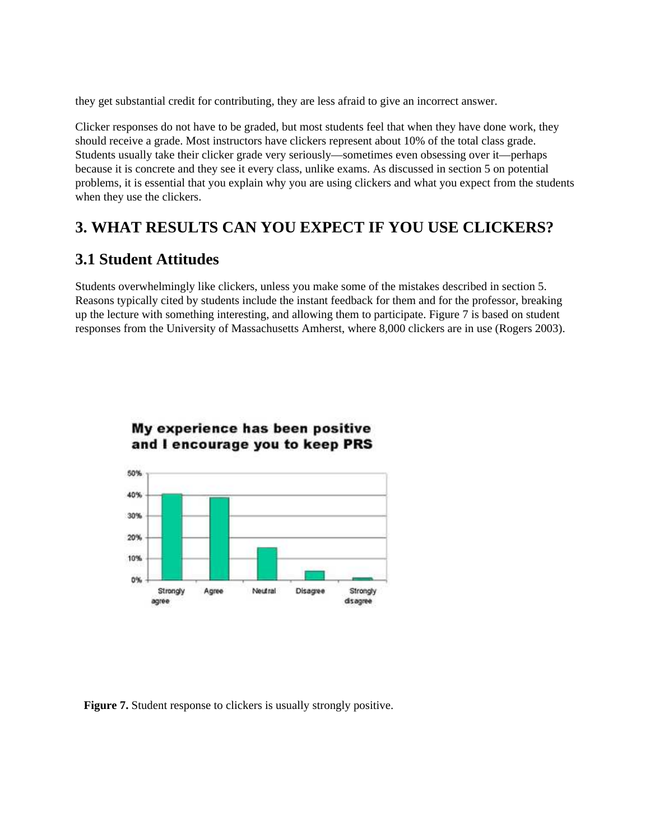they get substantial credit for contributing, they are less afraid to give an incorrect answer.

Clicker responses do not have to be graded, but most students feel that when they have done work, they should receive a grade. Most instructors have clickers represent about 10% of the total class grade. Students usually take their clicker grade very seriously—sometimes even obsessing over it—perhaps because it is concrete and they see it every class, unlike exams. As discussed in section 5 on potential problems, it is essential that you explain why you are using clickers and what you expect from the students when they use the clickers.

#### **3. WHAT RESULTS CAN YOU EXPECT IF YOU USE CLICKERS?**

#### **3.1 Student Attitudes**

Students overwhelmingly like clickers, unless you make some of the mistakes described in section 5. Reasons typically cited by students include the instant feedback for them and for the professor, breaking up the lecture with something interesting, and allowing them to participate. Figure 7 is based on student responses from the University of Massachusetts Amherst, where 8,000 clickers are in use (Rogers 2003).



#### My experience has been positive and I encourage you to keep PRS

Figure 7. Student response to clickers is usually strongly positive.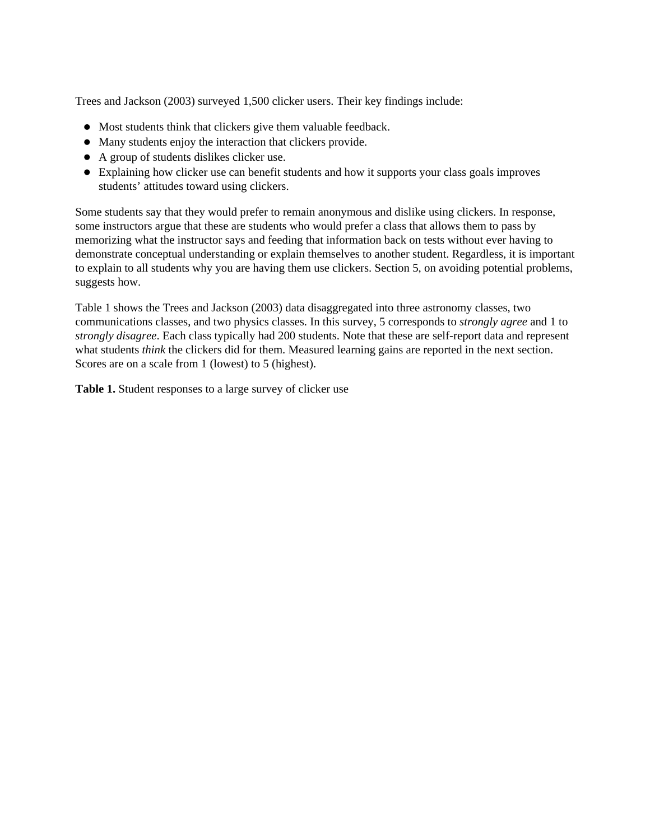Trees and Jackson (2003) surveyed 1,500 clicker users. Their key findings include:

- Most students think that clickers give them valuable feedback.
- Many students enjoy the interaction that clickers provide.
- A group of students dislikes clicker use.
- Explaining how clicker use can benefit students and how it supports your class goals improves students' attitudes toward using clickers.

Some students say that they would prefer to remain anonymous and dislike using clickers. In response, some instructors argue that these are students who would prefer a class that allows them to pass by memorizing what the instructor says and feeding that information back on tests without ever having to demonstrate conceptual understanding or explain themselves to another student. Regardless, it is important to explain to all students why you are having them use clickers. Section 5, on avoiding potential problems, suggests how.

Table 1 shows the Trees and Jackson (2003) data disaggregated into three astronomy classes, two communications classes, and two physics classes. In this survey, 5 corresponds to *strongly agree* and 1 to *strongly disagree*. Each class typically had 200 students. Note that these are self-report data and represent what students *think* the clickers did for them. Measured learning gains are reported in the next section. Scores are on a scale from 1 (lowest) to 5 (highest).

**Table 1.** Student responses to a large survey of clicker use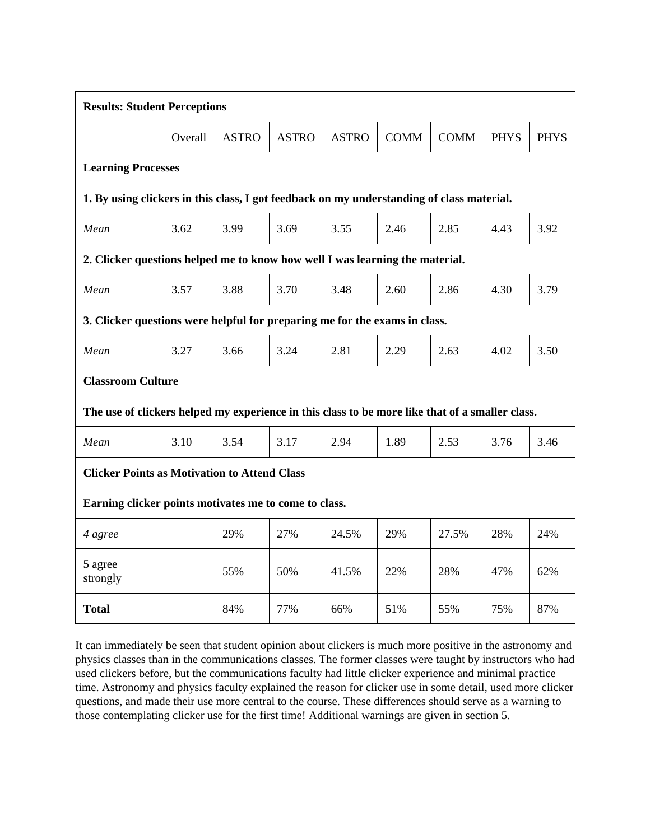| <b>Results: Student Perceptions</b>                                                             |         |              |              |              |             |             |             |             |  |  |  |
|-------------------------------------------------------------------------------------------------|---------|--------------|--------------|--------------|-------------|-------------|-------------|-------------|--|--|--|
|                                                                                                 | Overall | <b>ASTRO</b> | <b>ASTRO</b> | <b>ASTRO</b> | <b>COMM</b> | <b>COMM</b> | <b>PHYS</b> | <b>PHYS</b> |  |  |  |
| <b>Learning Processes</b>                                                                       |         |              |              |              |             |             |             |             |  |  |  |
| 1. By using clickers in this class, I got feedback on my understanding of class material.       |         |              |              |              |             |             |             |             |  |  |  |
| Mean                                                                                            | 3.62    | 3.99         | 3.69         | 3.55         | 2.46        | 2.85        | 4.43        | 3.92        |  |  |  |
| 2. Clicker questions helped me to know how well I was learning the material.                    |         |              |              |              |             |             |             |             |  |  |  |
| Mean                                                                                            | 3.57    | 3.88         | 3.70         | 3.48         | 2.60        | 2.86        | 4.30        | 3.79        |  |  |  |
| 3. Clicker questions were helpful for preparing me for the exams in class.                      |         |              |              |              |             |             |             |             |  |  |  |
| Mean                                                                                            | 3.27    | 3.66         | 3.24         | 2.81         | 2.29        | 2.63        | 4.02        | 3.50        |  |  |  |
| <b>Classroom Culture</b>                                                                        |         |              |              |              |             |             |             |             |  |  |  |
| The use of clickers helped my experience in this class to be more like that of a smaller class. |         |              |              |              |             |             |             |             |  |  |  |
| Mean                                                                                            | 3.10    | 3.54         | 3.17         | 2.94         | 1.89        | 2.53        | 3.76        | 3.46        |  |  |  |
| <b>Clicker Points as Motivation to Attend Class</b>                                             |         |              |              |              |             |             |             |             |  |  |  |
| Earning clicker points motivates me to come to class.                                           |         |              |              |              |             |             |             |             |  |  |  |
| 4 agree                                                                                         |         | 29%          | 27%          | 24.5%        | 29%         | 27.5%       | 28%         | 24%         |  |  |  |
| 5 agree<br>strongly                                                                             |         | 55%          | 50%          | 41.5%        | 22%         | 28%         | 47%         | 62%         |  |  |  |
| Total                                                                                           |         | 84%          | 77%          | 66%          | 51%         | 55%         | 75%         | 87%         |  |  |  |

It can immediately be seen that student opinion about clickers is much more positive in the astronomy and physics classes than in the communications classes. The former classes were taught by instructors who had used clickers before, but the communications faculty had little clicker experience and minimal practice time. Astronomy and physics faculty explained the reason for clicker use in some detail, used more clicker questions, and made their use more central to the course. These differences should serve as a warning to those contemplating clicker use for the first time! Additional warnings are given in section 5.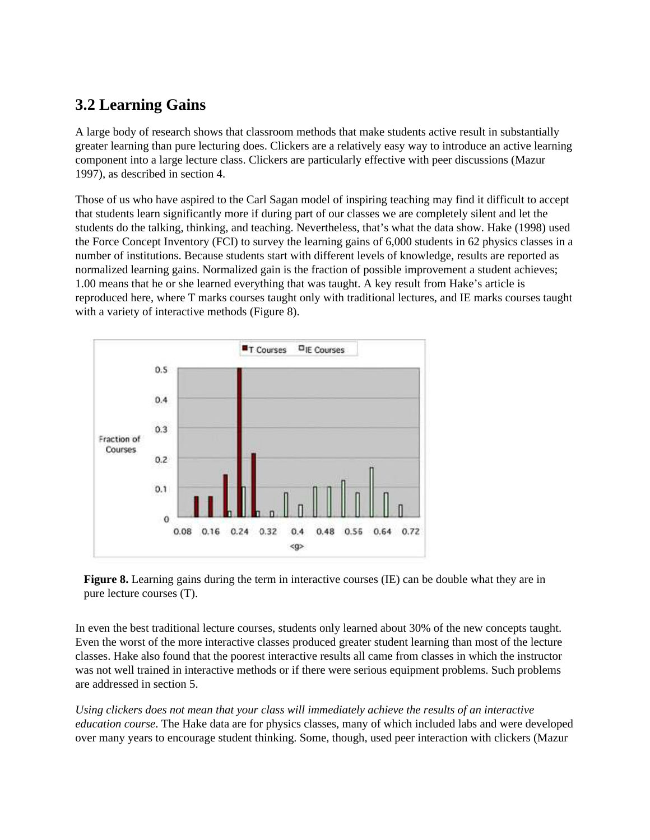#### **3.2 Learning Gains**

A large body of research shows that classroom methods that make students active result in substantially greater learning than pure lecturing does. Clickers are a relatively easy way to introduce an active learning component into a large lecture class. Clickers are particularly effective with peer discussions (Mazur 1997), as described in section 4.

Those of us who have aspired to the Carl Sagan model of inspiring teaching may find it difficult to accept that students learn significantly more if during part of our classes we are completely silent and let the students do the talking, thinking, and teaching. Nevertheless, that's what the data show. Hake (1998) used the Force Concept Inventory (FCI) to survey the learning gains of 6,000 students in 62 physics classes in a number of institutions. Because students start with different levels of knowledge, results are reported as normalized learning gains. Normalized gain is the fraction of possible improvement a student achieves; 1.00 means that he or she learned everything that was taught. A key result from Hake's article is reproduced here, where T marks courses taught only with traditional lectures, and IE marks courses taught with a variety of interactive methods (Figure 8).





In even the best traditional lecture courses, students only learned about 30% of the new concepts taught. Even the worst of the more interactive classes produced greater student learning than most of the lecture classes. Hake also found that the poorest interactive results all came from classes in which the instructor was not well trained in interactive methods or if there were serious equipment problems. Such problems are addressed in section 5.

*Using clickers does not mean that your class will immediately achieve the results of an interactive education course*. The Hake data are for physics classes, many of which included labs and were developed over many years to encourage student thinking. Some, though, used peer interaction with clickers (Mazur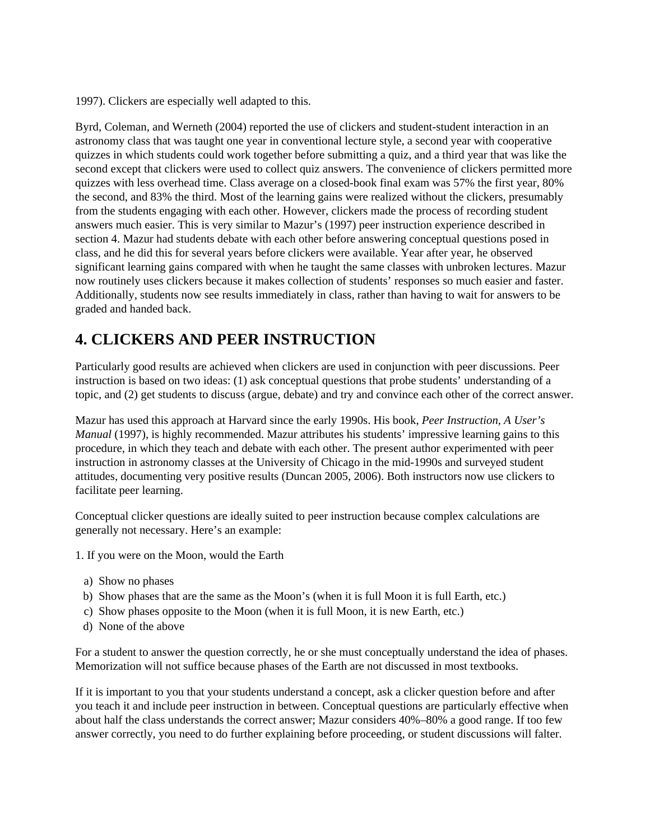1997). Clickers are especially well adapted to this.

Byrd, Coleman, and Werneth (2004) reported the use of clickers and student-student interaction in an astronomy class that was taught one year in conventional lecture style, a second year with cooperative quizzes in which students could work together before submitting a quiz, and a third year that was like the second except that clickers were used to collect quiz answers. The convenience of clickers permitted more quizzes with less overhead time. Class average on a closed-book final exam was 57% the first year, 80% the second, and 83% the third. Most of the learning gains were realized without the clickers, presumably from the students engaging with each other. However, clickers made the process of recording student answers much easier. This is very similar to Mazur's (1997) peer instruction experience described in section 4. Mazur had students debate with each other before answering conceptual questions posed in class, and he did this for several years before clickers were available. Year after year, he observed significant learning gains compared with when he taught the same classes with unbroken lectures. Mazur now routinely uses clickers because it makes collection of students' responses so much easier and faster. Additionally, students now see results immediately in class, rather than having to wait for answers to be graded and handed back.

#### **4. CLICKERS AND PEER INSTRUCTION**

Particularly good results are achieved when clickers are used in conjunction with peer discussions. Peer instruction is based on two ideas: (1) ask conceptual questions that probe students' understanding of a topic, and (2) get students to discuss (argue, debate) and try and convince each other of the correct answer.

Mazur has used this approach at Harvard since the early 1990s. His book, *Peer Instruction, A User's Manual* (1997), is highly recommended. Mazur attributes his students' impressive learning gains to this procedure, in which they teach and debate with each other. The present author experimented with peer instruction in astronomy classes at the University of Chicago in the mid-1990s and surveyed student attitudes, documenting very positive results (Duncan 2005, 2006). Both instructors now use clickers to facilitate peer learning.

Conceptual clicker questions are ideally suited to peer instruction because complex calculations are generally not necessary. Here's an example:

- 1. If you were on the Moon, would the Earth
	- a) Show no phases
- b) Show phases that are the same as the Moon's (when it is full Moon it is full Earth, etc.)
- c) Show phases opposite to the Moon (when it is full Moon, it is new Earth, etc.)
- d) None of the above

For a student to answer the question correctly, he or she must conceptually understand the idea of phases. Memorization will not suffice because phases of the Earth are not discussed in most textbooks.

If it is important to you that your students understand a concept, ask a clicker question before and after you teach it and include peer instruction in between. Conceptual questions are particularly effective when about half the class understands the correct answer; Mazur considers 40%–80% a good range. If too few answer correctly, you need to do further explaining before proceeding, or student discussions will falter.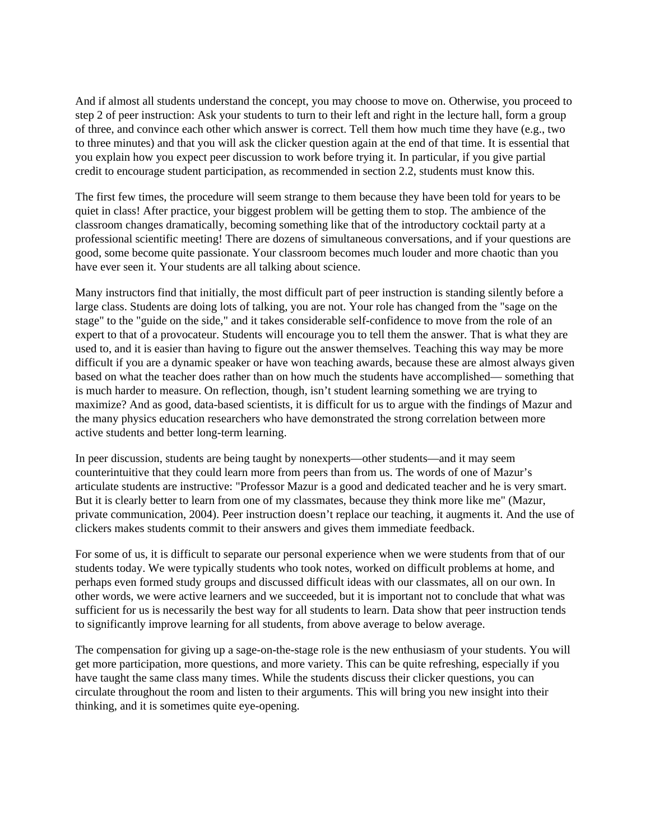And if almost all students understand the concept, you may choose to move on. Otherwise, you proceed to step 2 of peer instruction: Ask your students to turn to their left and right in the lecture hall, form a group of three, and convince each other which answer is correct. Tell them how much time they have (e.g., two to three minutes) and that you will ask the clicker question again at the end of that time. It is essential that you explain how you expect peer discussion to work before trying it. In particular, if you give partial credit to encourage student participation, as recommended in section 2.2, students must know this.

The first few times, the procedure will seem strange to them because they have been told for years to be quiet in class! After practice, your biggest problem will be getting them to stop. The ambience of the classroom changes dramatically, becoming something like that of the introductory cocktail party at a professional scientific meeting! There are dozens of simultaneous conversations, and if your questions are good, some become quite passionate. Your classroom becomes much louder and more chaotic than you have ever seen it. Your students are all talking about science.

Many instructors find that initially, the most difficult part of peer instruction is standing silently before a large class. Students are doing lots of talking, you are not. Your role has changed from the "sage on the stage" to the "guide on the side," and it takes considerable self-confidence to move from the role of an expert to that of a provocateur. Students will encourage you to tell them the answer. That is what they are used to, and it is easier than having to figure out the answer themselves. Teaching this way may be more difficult if you are a dynamic speaker or have won teaching awards, because these are almost always given based on what the teacher does rather than on how much the students have accomplished— something that is much harder to measure. On reflection, though, isn't student learning something we are trying to maximize? And as good, data-based scientists, it is difficult for us to argue with the findings of Mazur and the many physics education researchers who have demonstrated the strong correlation between more active students and better long-term learning.

In peer discussion, students are being taught by nonexperts—other students—and it may seem counterintuitive that they could learn more from peers than from us. The words of one of Mazur's articulate students are instructive: "Professor Mazur is a good and dedicated teacher and he is very smart. But it is clearly better to learn from one of my classmates, because they think more like me" (Mazur, private communication, 2004). Peer instruction doesn't replace our teaching, it augments it. And the use of clickers makes students commit to their answers and gives them immediate feedback.

For some of us, it is difficult to separate our personal experience when we were students from that of our students today. We were typically students who took notes, worked on difficult problems at home, and perhaps even formed study groups and discussed difficult ideas with our classmates, all on our own. In other words, we were active learners and we succeeded, but it is important not to conclude that what was sufficient for us is necessarily the best way for all students to learn. Data show that peer instruction tends to significantly improve learning for all students, from above average to below average.

The compensation for giving up a sage-on-the-stage role is the new enthusiasm of your students. You will get more participation, more questions, and more variety. This can be quite refreshing, especially if you have taught the same class many times. While the students discuss their clicker questions, you can circulate throughout the room and listen to their arguments. This will bring you new insight into their thinking, and it is sometimes quite eye-opening.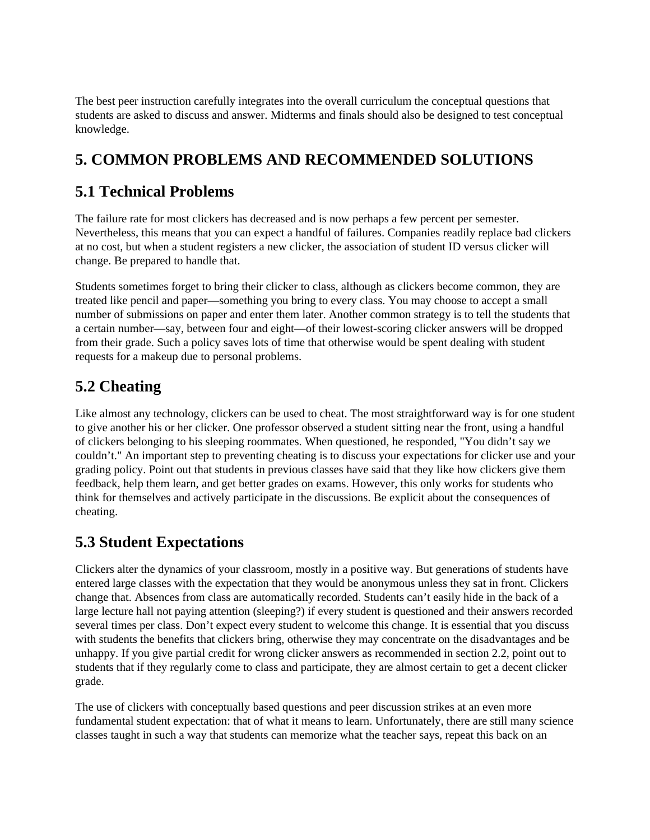The best peer instruction carefully integrates into the overall curriculum the conceptual questions that students are asked to discuss and answer. Midterms and finals should also be designed to test conceptual knowledge.

## **5. COMMON PROBLEMS AND RECOMMENDED SOLUTIONS**

#### **5.1 Technical Problems**

The failure rate for most clickers has decreased and is now perhaps a few percent per semester. Nevertheless, this means that you can expect a handful of failures. Companies readily replace bad clickers at no cost, but when a student registers a new clicker, the association of student ID versus clicker will change. Be prepared to handle that.

Students sometimes forget to bring their clicker to class, although as clickers become common, they are treated like pencil and paper—something you bring to every class. You may choose to accept a small number of submissions on paper and enter them later. Another common strategy is to tell the students that a certain number—say, between four and eight—of their lowest-scoring clicker answers will be dropped from their grade. Such a policy saves lots of time that otherwise would be spent dealing with student requests for a makeup due to personal problems.

## **5.2 Cheating**

Like almost any technology, clickers can be used to cheat. The most straightforward way is for one student to give another his or her clicker. One professor observed a student sitting near the front, using a handful of clickers belonging to his sleeping roommates. When questioned, he responded, "You didn't say we couldn't." An important step to preventing cheating is to discuss your expectations for clicker use and your grading policy. Point out that students in previous classes have said that they like how clickers give them feedback, help them learn, and get better grades on exams. However, this only works for students who think for themselves and actively participate in the discussions. Be explicit about the consequences of cheating.

## **5.3 Student Expectations**

Clickers alter the dynamics of your classroom, mostly in a positive way. But generations of students have entered large classes with the expectation that they would be anonymous unless they sat in front. Clickers change that. Absences from class are automatically recorded. Students can't easily hide in the back of a large lecture hall not paying attention (sleeping?) if every student is questioned and their answers recorded several times per class. Don't expect every student to welcome this change. It is essential that you discuss with students the benefits that clickers bring, otherwise they may concentrate on the disadvantages and be unhappy. If you give partial credit for wrong clicker answers as recommended in section 2.2, point out to students that if they regularly come to class and participate, they are almost certain to get a decent clicker grade.

The use of clickers with conceptually based questions and peer discussion strikes at an even more fundamental student expectation: that of what it means to learn. Unfortunately, there are still many science classes taught in such a way that students can memorize what the teacher says, repeat this back on an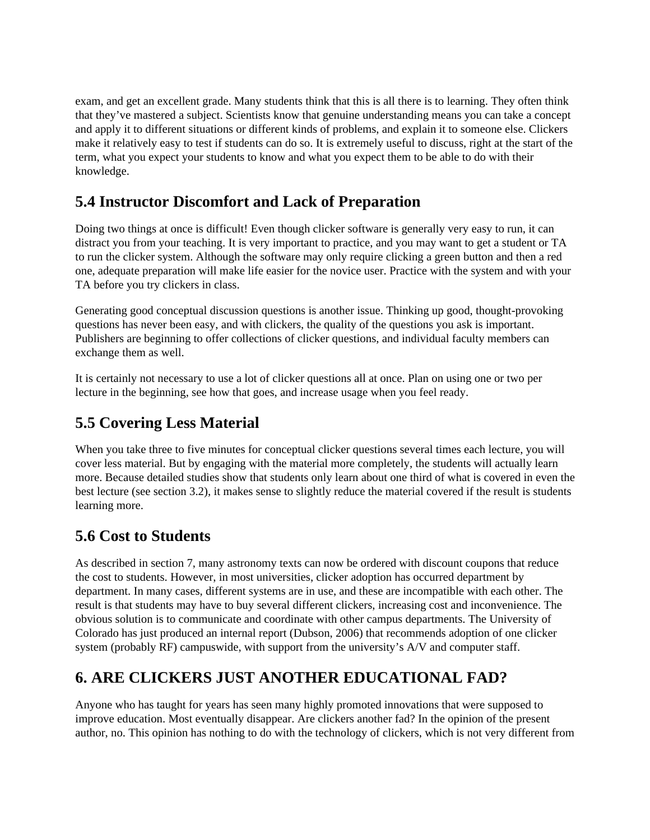exam, and get an excellent grade. Many students think that this is all there is to learning. They often think that they've mastered a subject. Scientists know that genuine understanding means you can take a concept and apply it to different situations or different kinds of problems, and explain it to someone else. Clickers make it relatively easy to test if students can do so. It is extremely useful to discuss, right at the start of the term, what you expect your students to know and what you expect them to be able to do with their knowledge.

#### **5.4 Instructor Discomfort and Lack of Preparation**

Doing two things at once is difficult! Even though clicker software is generally very easy to run, it can distract you from your teaching. It is very important to practice, and you may want to get a student or TA to run the clicker system. Although the software may only require clicking a green button and then a red one, adequate preparation will make life easier for the novice user. Practice with the system and with your TA before you try clickers in class.

Generating good conceptual discussion questions is another issue. Thinking up good, thought-provoking questions has never been easy, and with clickers, the quality of the questions you ask is important. Publishers are beginning to offer collections of clicker questions, and individual faculty members can exchange them as well.

It is certainly not necessary to use a lot of clicker questions all at once. Plan on using one or two per lecture in the beginning, see how that goes, and increase usage when you feel ready.

#### **5.5 Covering Less Material**

When you take three to five minutes for conceptual clicker questions several times each lecture, you will cover less material. But by engaging with the material more completely, the students will actually learn more. Because detailed studies show that students only learn about one third of what is covered in even the best lecture (see section 3.2), it makes sense to slightly reduce the material covered if the result is students learning more.

#### **5.6 Cost to Students**

As described in section 7, many astronomy texts can now be ordered with discount coupons that reduce the cost to students. However, in most universities, clicker adoption has occurred department by department. In many cases, different systems are in use, and these are incompatible with each other. The result is that students may have to buy several different clickers, increasing cost and inconvenience. The obvious solution is to communicate and coordinate with other campus departments. The University of Colorado has just produced an internal report (Dubson, 2006) that recommends adoption of one clicker system (probably RF) campuswide, with support from the university's A/V and computer staff.

## **6. ARE CLICKERS JUST ANOTHER EDUCATIONAL FAD?**

Anyone who has taught for years has seen many highly promoted innovations that were supposed to improve education. Most eventually disappear. Are clickers another fad? In the opinion of the present author, no. This opinion has nothing to do with the technology of clickers, which is not very different from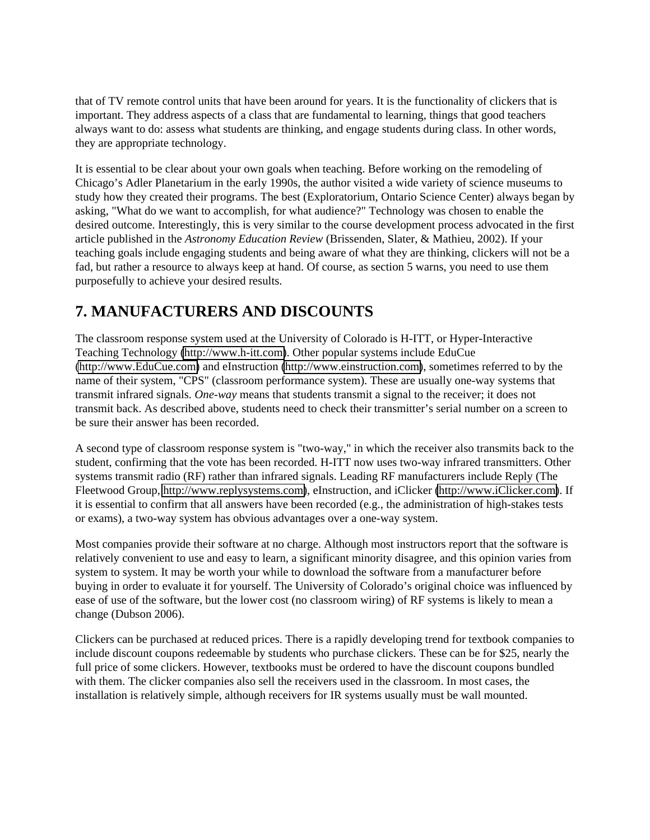that of TV remote control units that have been around for years. It is the functionality of clickers that is important. They address aspects of a class that are fundamental to learning, things that good teachers always want to do: assess what students are thinking, and engage students during class. In other words, they are appropriate technology.

It is essential to be clear about your own goals when teaching. Before working on the remodeling of Chicago's Adler Planetarium in the early 1990s, the author visited a wide variety of science museums to study how they created their programs. The best (Exploratorium, Ontario Science Center) always began by asking, "What do we want to accomplish, for what audience?" Technology was chosen to enable the desired outcome. Interestingly, this is very similar to the course development process advocated in the first article published in the *Astronomy Education Review* (Brissenden, Slater, & Mathieu, 2002). If your teaching goals include engaging students and being aware of what they are thinking, clickers will not be a fad, but rather a resource to always keep at hand. Of course, as section 5 warns, you need to use them purposefully to achieve your desired results.

## **7. MANUFACTURERS AND DISCOUNTS**

The classroom response system used at the University of Colorado is H-ITT, or Hyper-Interactive Teaching Technology [\(http://www.h-itt.com\)](http://www.h-itt.com/). Other popular systems include EduCue [\(http://www.EduCue.com\)](http://www.educue.com/) and eInstruction [\(http://www.einstruction.com\)](http://www.einstruction.com/), sometimes referred to by the name of their system, "CPS" (classroom performance system). These are usually one-way systems that transmit infrared signals. *One-way* means that students transmit a signal to the receiver; it does not transmit back. As described above, students need to check their transmitter's serial number on a screen to be sure their answer has been recorded.

A second type of classroom response system is "two-way," in which the receiver also transmits back to the student, confirming that the vote has been recorded. H-ITT now uses two-way infrared transmitters. Other systems transmit radio (RF) rather than infrared signals. Leading RF manufacturers include Reply (The Fleetwood Group, [http://www.replysystems.com\)](http://www.replysystems.com/), eInstruction, and iClicker [\(http://www.iClicker.com\)](http://www.iclicker.com/). If it is essential to confirm that all answers have been recorded (e.g., the administration of high-stakes tests or exams), a two-way system has obvious advantages over a one-way system.

Most companies provide their software at no charge. Although most instructors report that the software is relatively convenient to use and easy to learn, a significant minority disagree, and this opinion varies from system to system. It may be worth your while to download the software from a manufacturer before buying in order to evaluate it for yourself. The University of Colorado's original choice was influenced by ease of use of the software, but the lower cost (no classroom wiring) of RF systems is likely to mean a change (Dubson 2006).

Clickers can be purchased at reduced prices. There is a rapidly developing trend for textbook companies to include discount coupons redeemable by students who purchase clickers. These can be for \$25, nearly the full price of some clickers. However, textbooks must be ordered to have the discount coupons bundled with them. The clicker companies also sell the receivers used in the classroom. In most cases, the installation is relatively simple, although receivers for IR systems usually must be wall mounted.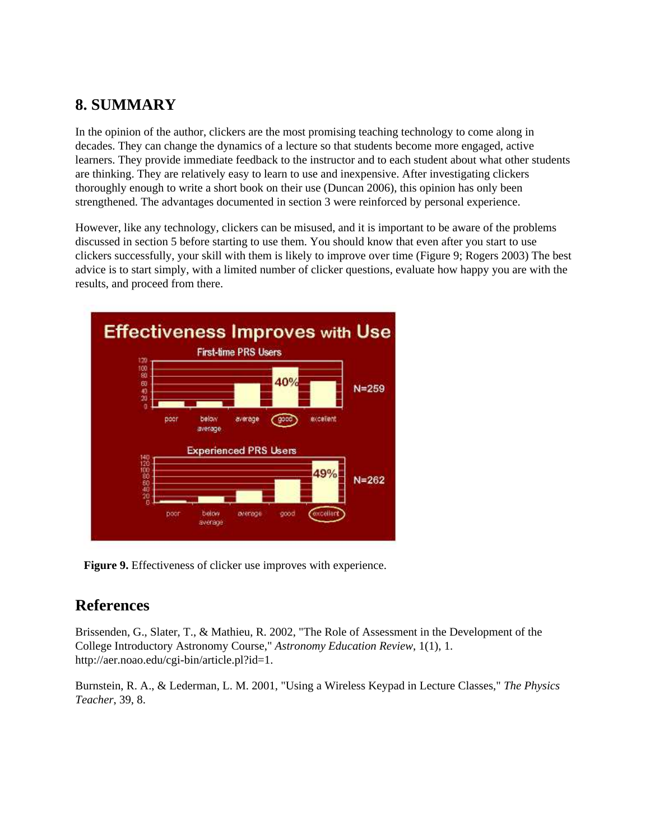#### **8. SUMMARY**

In the opinion of the author, clickers are the most promising teaching technology to come along in decades. They can change the dynamics of a lecture so that students become more engaged, active learners. They provide immediate feedback to the instructor and to each student about what other students are thinking. They are relatively easy to learn to use and inexpensive. After investigating clickers thoroughly enough to write a short book on their use (Duncan 2006), this opinion has only been strengthened. The advantages documented in section 3 were reinforced by personal experience.

However, like any technology, clickers can be misused, and it is important to be aware of the problems discussed in section 5 before starting to use them. You should know that even after you start to use clickers successfully, your skill with them is likely to improve over time (Figure 9; Rogers 2003) The best advice is to start simply, with a limited number of clicker questions, evaluate how happy you are with the results, and proceed from there.



**Figure 9.** Effectiveness of clicker use improves with experience.

#### **References**

Brissenden, G., Slater, T., & Mathieu, R. 2002, "The Role of Assessment in the Development of the College Introductory Astronomy Course," *Astronomy Education Review*, 1(1), 1. http://aer.noao.edu/cgi-bin/article.pl?id=1.

Burnstein, R. A., & Lederman, L. M. 2001, "Using a Wireless Keypad in Lecture Classes," *The Physics Teacher*, 39, 8.